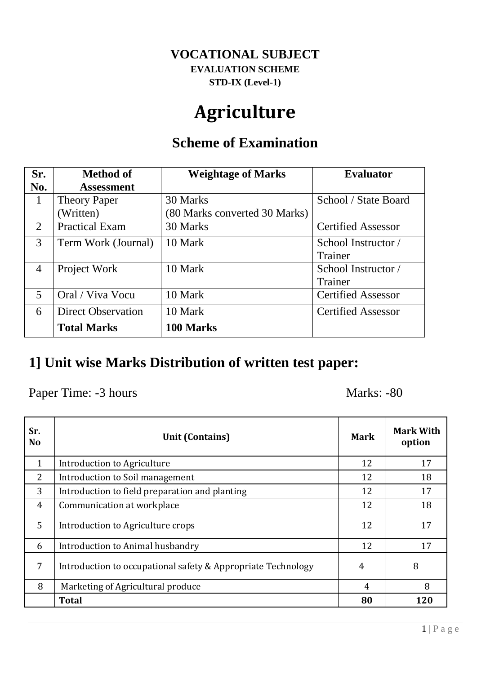#### **VOCATIONAL SUBJECT EVALUATION SCHEME STD-IX (Level-1)**

## **Agriculture**

#### **Scheme of Examination**

| Sr.            | <b>Method of</b>          | <b>Weightage of Marks</b>     | <b>Evaluator</b>          |
|----------------|---------------------------|-------------------------------|---------------------------|
| No.            | <b>Assessment</b>         |                               |                           |
| 1              | <b>Theory Paper</b>       | 30 Marks                      | School / State Board      |
|                | Written)                  | (80 Marks converted 30 Marks) |                           |
| $\overline{2}$ | <b>Practical Exam</b>     | 30 Marks                      | <b>Certified Assessor</b> |
| 3              | Term Work (Journal)       | 10 Mark                       | School Instructor /       |
|                |                           |                               | <b>Trainer</b>            |
| 4              | Project Work              | 10 Mark                       | School Instructor /       |
|                |                           |                               | Trainer                   |
| 5              | Oral / Viva Vocu          | 10 Mark                       | <b>Certified Assessor</b> |
| 6              | <b>Direct Observation</b> | 10 Mark                       | <b>Certified Assessor</b> |
|                | <b>Total Marks</b>        | 100 Marks                     |                           |

#### **1] Unit wise Marks Distribution of written test paper:**

Paper Time: -3 hours Marks: -80

| Sr.<br>N <sub>o</sub> | <b>Unit (Contains)</b>                                       | <b>Mark</b>    | <b>Mark With</b><br>option |
|-----------------------|--------------------------------------------------------------|----------------|----------------------------|
| $\mathbf{1}$          | Introduction to Agriculture                                  | 12             | 17                         |
| $\overline{2}$        | Introduction to Soil management                              | 12             | 18                         |
| 3                     | Introduction to field preparation and planting               | 12             | 17                         |
| $\overline{4}$        | Communication at workplace                                   | 12             | 18                         |
| 5                     | Introduction to Agriculture crops                            | 12             | 17                         |
| 6                     | Introduction to Animal husbandry                             | 12             | 17                         |
| 7                     | Introduction to occupational safety & Appropriate Technology | 4              | 8                          |
| 8                     | Marketing of Agricultural produce                            | $\overline{4}$ | 8                          |
|                       | <b>Total</b>                                                 | 80             | 120                        |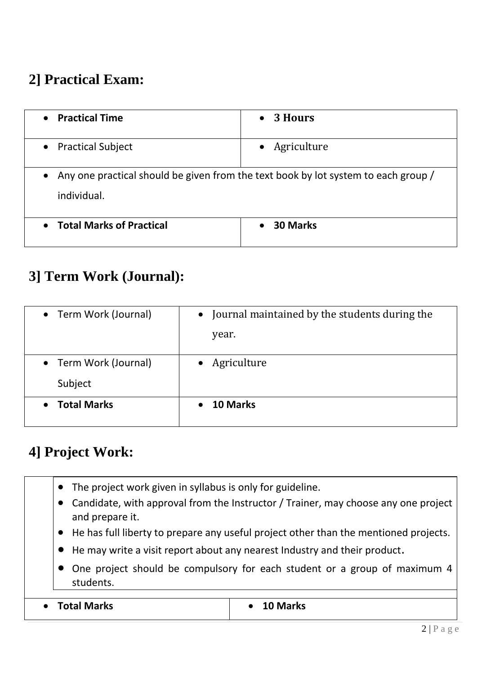### **2] Practical Exam:**

| <b>Practical Time</b>                                                                                          | 3 Hours         |  |
|----------------------------------------------------------------------------------------------------------------|-----------------|--|
| $\bullet$                                                                                                      | $\bullet$       |  |
| <b>Practical Subject</b>                                                                                       | Agriculture     |  |
| $\bullet$                                                                                                      | $\bullet$       |  |
| Any one practical should be given from the text book by lot system to each group /<br>$\bullet$<br>individual. |                 |  |
| <b>Total Marks of Practical</b><br>$\bullet$                                                                   | <b>30 Marks</b> |  |

#### **3] Term Work (Journal):**

| • Term Work (Journal)           | • Journal maintained by the students during the |
|---------------------------------|-------------------------------------------------|
|                                 | year.                                           |
|                                 |                                                 |
| • Term Work (Journal)           | Agriculture<br>$\bullet$                        |
| Subject                         |                                                 |
| <b>Total Marks</b><br>$\bullet$ | 10 Marks<br>$\bullet$                           |

#### **4] Project Work:**

- The project work given in syllabus is only for guideline.
- Candidate, with approval from the Instructor / Trainer, may choose any one project and prepare it.
- He has full liberty to prepare any useful project other than the mentioned projects.
- He may write a visit report about any nearest Industry and their product.
- One project should be compulsory for each student or a group of maximum 4 students.

| <b>Total Marks</b> | 10 Marks |
|--------------------|----------|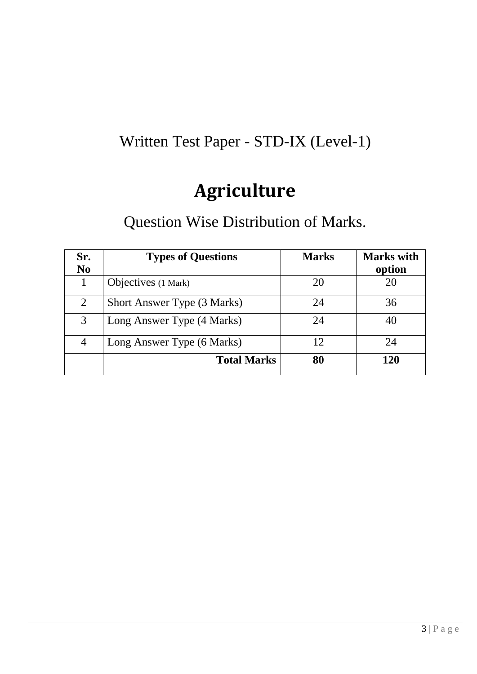### Written Test Paper - STD-IX (Level-1)

## **Agriculture**

### Question Wise Distribution of Marks.

| Sr.<br>N <sub>0</sub> | <b>Types of Questions</b>          | <b>Marks</b> | <b>Marks</b> with<br>option |
|-----------------------|------------------------------------|--------------|-----------------------------|
|                       | Objectives (1 Mark)                | 20           | 20                          |
| 2                     | <b>Short Answer Type (3 Marks)</b> | 24           | 36                          |
| 3                     | Long Answer Type (4 Marks)         | 24           | 40                          |
| 4                     | Long Answer Type (6 Marks)         | 12           | 24                          |
|                       | <b>Total Marks</b>                 | 80           | 120                         |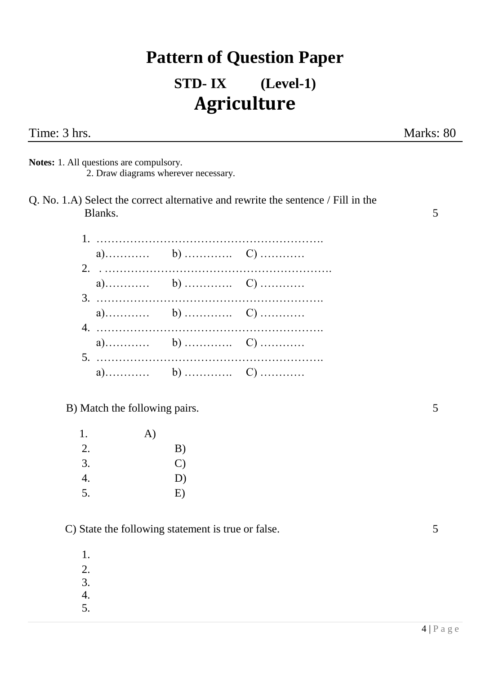# **Pattern of Question Paper STD- IX (Level-1) Agriculture**

**Notes:** 1. All questions are compulsory. 2. Draw diagrams wherever necessary.

Q. No. 1.A) Select the correct alternative and rewrite the sentence / Fill in the Blanks. 5

B) Match the following pairs. 5

| 1. | A) |               |
|----|----|---------------|
| 2. |    | B)            |
| 3. |    | $\mathcal{C}$ |
| 4. |    | D)            |
| 5. |    | E)            |

C) State the following statement is true or false. 5

1. 2.

- 3.
- 4.
- 5.

 $4 | P a g e$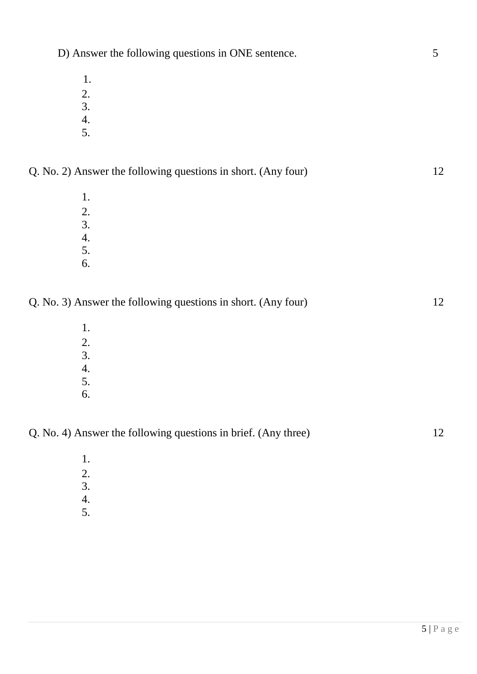- 1.
- 2.
- 3.
- 4. 5.
- Q. No. 2) Answer the following questions in short. (Any four) 12
	- 1. 2. 3. 4. 5.
	- 6.

Q. No. 3) Answer the following questions in short. (Any four) 12

- 1. 2. 3. 4. 5.
- 6.

1. 2. 3. 4. 5.

Q. No. 4) Answer the following questions in brief. (Any three) 12